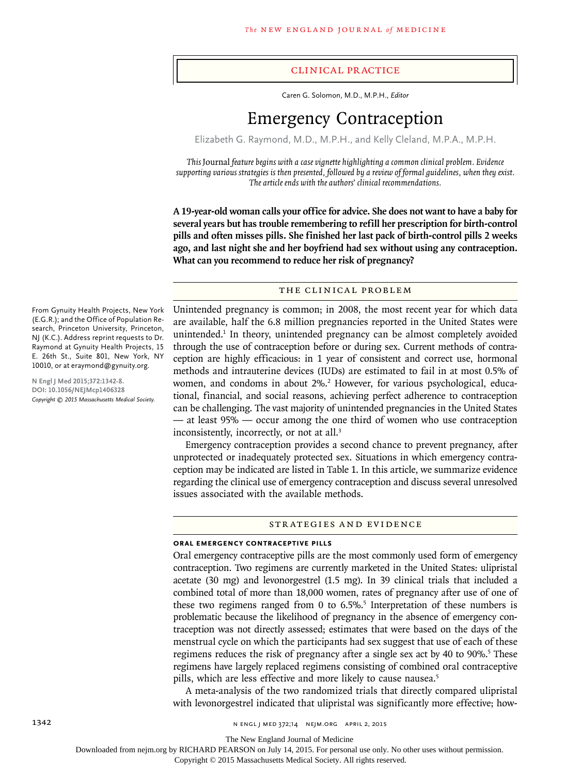## Clinical Practice

Caren G. Solomon, M.D., M.P.H., *Editor*

# Emergency Contraception

Elizabeth G. Raymond, M.D., M.P.H., and Kelly Cleland, M.P.A., M.P.H.

*This* Journal *feature begins with a case vignette highlighting a common clinical problem. Evidence supporting various strategies is then presented, followed by a review of formal guidelines, when they exist. The article ends with the authors' clinical recommendations.*

**A 19-year-old woman calls your office for advice. She does not want to have a baby for several years but has trouble remembering to refill her prescription for birth-control pills and often misses pills. She finished her last pack of birth-control pills 2 weeks ago, and last night she and her boyfriend had sex without using any contraception. What can you recommend to reduce her risk of pregnancy?**

# The Clinical Problem

Unintended pregnancy is common; in 2008, the most recent year for which data are available, half the 6.8 million pregnancies reported in the United States were unintended.1 In theory, unintended pregnancy can be almost completely avoided through the use of contraception before or during sex. Current methods of contraception are highly efficacious: in 1 year of consistent and correct use, hormonal methods and intrauterine devices (IUDs) are estimated to fail in at most 0.5% of women, and condoms in about 2%.2 However, for various psychological, educational, financial, and social reasons, achieving perfect adherence to contraception can be challenging. The vast majority of unintended pregnancies in the United States — at least 95% — occur among the one third of women who use contraception inconsistently, incorrectly, or not at all.<sup>3</sup>

Emergency contraception provides a second chance to prevent pregnancy, after unprotected or inadequately protected sex. Situations in which emergency contraception may be indicated are listed in Table 1. In this article, we summarize evidence regarding the clinical use of emergency contraception and discuss several unresolved issues associated with the available methods.

# Strategies and Evidence

## **Oral Emergency Contraceptive Pills**

Oral emergency contraceptive pills are the most commonly used form of emergency contraception. Two regimens are currently marketed in the United States: ulipristal acetate (30 mg) and levonorgestrel (1.5 mg). In 39 clinical trials that included a combined total of more than 18,000 women, rates of pregnancy after use of one of these two regimens ranged from  $0$  to  $6.5\%$ <sup>5</sup> Interpretation of these numbers is problematic because the likelihood of pregnancy in the absence of emergency contraception was not directly assessed; estimates that were based on the days of the menstrual cycle on which the participants had sex suggest that use of each of these regimens reduces the risk of pregnancy after a single sex act by 40 to 90%.<sup>5</sup> These regimens have largely replaced regimens consisting of combined oral contraceptive pills, which are less effective and more likely to cause nausea.<sup>5</sup>

A meta-analysis of the two randomized trials that directly compared ulipristal with levonorgestrel indicated that ulipristal was significantly more effective; how-

From Gynuity Health Projects, New York (E.G.R.); and the Office of Population Research, Princeton University, Princeton, NJ (K.C.). Address reprint requests to Dr. Raymond at Gynuity Health Projects, 15 E. 26th St., Suite 801, New York, NY 10010, or at eraymond@gynuity.org.

**N Engl J Med 2015;372:1342-8. DOI: 10.1056/NEJMcp1406328** *Copyright © 2015 Massachusetts Medical Society.*

The New England Journal of Medicine

Downloaded from nejm.org by RICHARD PEARSON on July 14, 2015. For personal use only. No other uses without permission.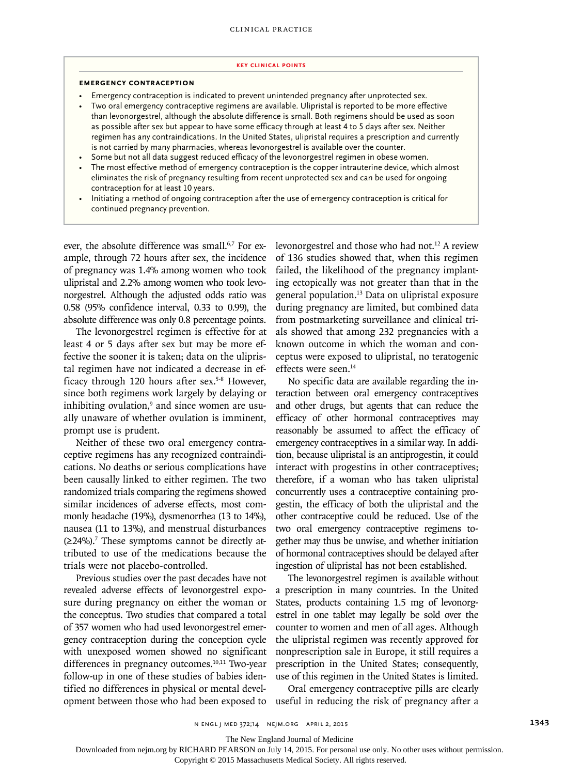#### **Key Clinical Points**

### **Emergency Contraception**

- Emergency contraception is indicated to prevent unintended pregnancy after unprotected sex.
- Two oral emergency contraceptive regimens are available. Ulipristal is reported to be more effective than levonorgestrel, although the absolute difference is small. Both regimens should be used as soon as possible after sex but appear to have some efficacy through at least 4 to 5 days after sex. Neither regimen has any contraindications. In the United States, ulipristal requires a prescription and currently is not carried by many pharmacies, whereas levonorgestrel is available over the counter.
- Some but not all data suggest reduced efficacy of the levonorgestrel regimen in obese women.
- The most effective method of emergency contraception is the copper intrauterine device, which almost eliminates the risk of pregnancy resulting from recent unprotected sex and can be used for ongoing contraception for at least 10 years.
- Initiating a method of ongoing contraception after the use of emergency contraception is critical for continued pregnancy prevention.

ever, the absolute difference was small.<sup>6,7</sup> For example, through 72 hours after sex, the incidence of pregnancy was 1.4% among women who took ulipristal and 2.2% among women who took levonorgestrel. Although the adjusted odds ratio was 0.58 (95% confidence interval, 0.33 to 0.99), the absolute difference was only 0.8 percentage points.

The levonorgestrel regimen is effective for at least 4 or 5 days after sex but may be more effective the sooner it is taken; data on the ulipristal regimen have not indicated a decrease in efficacy through 120 hours after sex.<sup>5-8</sup> However, since both regimens work largely by delaying or inhibiting ovulation,<sup>9</sup> and since women are usually unaware of whether ovulation is imminent, prompt use is prudent.

Neither of these two oral emergency contraceptive regimens has any recognized contraindications. No deaths or serious complications have been causally linked to either regimen. The two randomized trials comparing the regimens showed similar incidences of adverse effects, most commonly headache (19%), dysmenorrhea (13 to 14%), nausea (11 to 13%), and menstrual disturbances  $(\geq 24\%)$ . These symptoms cannot be directly attributed to use of the medications because the trials were not placebo-controlled.

Previous studies over the past decades have not revealed adverse effects of levonorgestrel exposure during pregnancy on either the woman or the conceptus. Two studies that compared a total of 357 women who had used levonorgestrel emergency contraception during the conception cycle with unexposed women showed no significant differences in pregnancy outcomes.<sup>10,11</sup> Two-year follow-up in one of these studies of babies identified no differences in physical or mental development between those who had been exposed to levonorgestrel and those who had not.12 A review of 136 studies showed that, when this regimen failed, the likelihood of the pregnancy implanting ectopically was not greater than that in the general population.13 Data on ulipristal exposure during pregnancy are limited, but combined data from postmarketing surveillance and clinical trials showed that among 232 pregnancies with a known outcome in which the woman and conceptus were exposed to ulipristal, no teratogenic effects were seen.<sup>14</sup>

No specific data are available regarding the interaction between oral emergency contraceptives and other drugs, but agents that can reduce the efficacy of other hormonal contraceptives may reasonably be assumed to affect the efficacy of emergency contraceptives in a similar way. In addition, because ulipristal is an antiprogestin, it could interact with progestins in other contraceptives; therefore, if a woman who has taken ulipristal concurrently uses a contraceptive containing progestin, the efficacy of both the ulipristal and the other contraceptive could be reduced. Use of the two oral emergency contraceptive regimens together may thus be unwise, and whether initiation of hormonal contraceptives should be delayed after ingestion of ulipristal has not been established.

The levonorgestrel regimen is available without a prescription in many countries. In the United States, products containing 1.5 mg of levonorgestrel in one tablet may legally be sold over the counter to women and men of all ages. Although the ulipristal regimen was recently approved for nonprescription sale in Europe, it still requires a prescription in the United States; consequently, use of this regimen in the United States is limited.

Oral emergency contraceptive pills are clearly useful in reducing the risk of pregnancy after a

The New England Journal of Medicine

Downloaded from nejm.org by RICHARD PEARSON on July 14, 2015. For personal use only. No other uses without permission.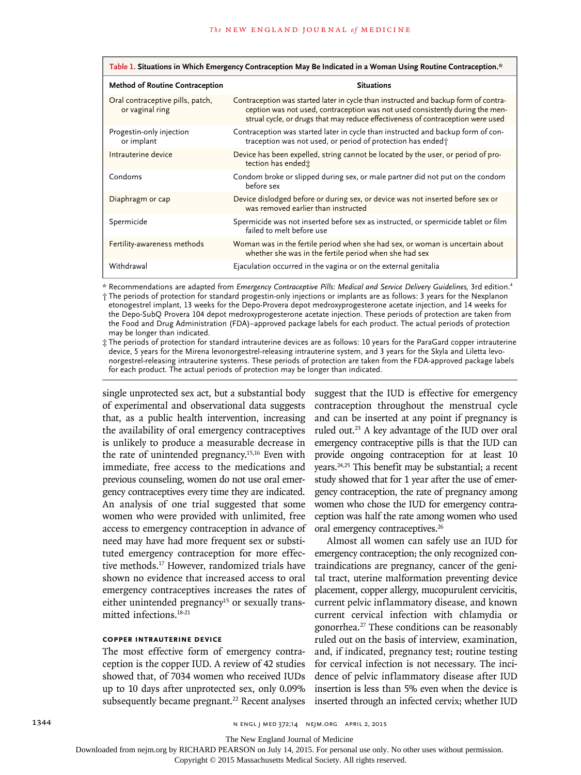| Table 1. Situations in Which Emergency Contraception May Be Indicated in a Woman Using Routine Contraception.* |                                                                                                                                                                                                                                                         |  |
|----------------------------------------------------------------------------------------------------------------|---------------------------------------------------------------------------------------------------------------------------------------------------------------------------------------------------------------------------------------------------------|--|
| <b>Method of Routine Contraception</b>                                                                         | <b>Situations</b>                                                                                                                                                                                                                                       |  |
| Oral contraceptive pills, patch,<br>or vaginal ring                                                            | Contraception was started later in cycle than instructed and backup form of contra-<br>ception was not used, contraception was not used consistently during the men-<br>strual cycle, or drugs that may reduce effectiveness of contraception were used |  |
| Progestin-only injection<br>or implant                                                                         | Contraception was started later in cycle than instructed and backup form of con-<br>traception was not used, or period of protection has ended +                                                                                                        |  |
| Intrauterine device                                                                                            | Device has been expelled, string cannot be located by the user, or period of pro-<br>tection has ended :                                                                                                                                                |  |
| Condoms                                                                                                        | Condom broke or slipped during sex, or male partner did not put on the condom<br>before sex                                                                                                                                                             |  |
| Diaphragm or cap                                                                                               | Device dislodged before or during sex, or device was not inserted before sex or<br>was removed earlier than instructed                                                                                                                                  |  |
| Spermicide                                                                                                     | Spermicide was not inserted before sex as instructed, or spermicide tablet or film<br>failed to melt before use                                                                                                                                         |  |
| Fertility-awareness methods                                                                                    | Woman was in the fertile period when she had sex, or woman is uncertain about<br>whether she was in the fertile period when she had sex                                                                                                                 |  |
| Withdrawal                                                                                                     | Ejaculation occurred in the vagina or on the external genitalia                                                                                                                                                                                         |  |

\* Recommendations are adapted from *Emergency Contraceptive Pills: Medical and Service Delivery Guidelines,* 3rd edition.4 † The periods of protection for standard progestin-only injections or implants are as follows: 3 years for the Nexplanon etonogestrel implant, 13 weeks for the Depo-Provera depot medroxyprogesterone acetate injection, and 14 weeks for the Depo-SubQ Provera 104 depot medroxyprogesterone acetate injection. These periods of protection are taken from the Food and Drug Administration (FDA)–approved package labels for each product. The actual periods of protection may be longer than indicated.

‡ The periods of protection for standard intrauterine devices are as follows: 10 years for the ParaGard copper intrauterine device, 5 years for the Mirena levonorgestrel-releasing intrauterine system, and 3 years for the Skyla and Liletta levonorgestrel-releasing intrauterine systems. These periods of protection are taken from the FDA-approved package labels for each product. The actual periods of protection may be longer than indicated.

single unprotected sex act, but a substantial body of experimental and observational data suggests that, as a public health intervention, increasing the availability of oral emergency contraceptives is unlikely to produce a measurable decrease in the rate of unintended pregnancy.<sup>15,16</sup> Even with immediate, free access to the medications and previous counseling, women do not use oral emergency contraceptives every time they are indicated. An analysis of one trial suggested that some women who were provided with unlimited, free access to emergency contraception in advance of need may have had more frequent sex or substituted emergency contraception for more effective methods.17 However, randomized trials have shown no evidence that increased access to oral emergency contraceptives increases the rates of either unintended pregnancy<sup>15</sup> or sexually transmitted infections.18-21

# **Copper Intrauterine Device**

The most effective form of emergency contraception is the copper IUD. A review of 42 studies showed that, of 7034 women who received IUDs up to 10 days after unprotected sex, only 0.09% subsequently became pregnant.<sup>22</sup> Recent analyses suggest that the IUD is effective for emergency contraception throughout the menstrual cycle and can be inserted at any point if pregnancy is ruled out.23 A key advantage of the IUD over oral emergency contraceptive pills is that the IUD can provide ongoing contraception for at least 10 years.24,25 This benefit may be substantial; a recent study showed that for 1 year after the use of emergency contraception, the rate of pregnancy among women who chose the IUD for emergency contraception was half the rate among women who used oral emergency contraceptives.26

Almost all women can safely use an IUD for emergency contraception; the only recognized contraindications are pregnancy, cancer of the genital tract, uterine malformation preventing device placement, copper allergy, mucopurulent cervicitis, current pelvic inflammatory disease, and known current cervical infection with chlamydia or gonorrhea.27 These conditions can be reasonably ruled out on the basis of interview, examination, and, if indicated, pregnancy test; routine testing for cervical infection is not necessary. The incidence of pelvic inflammatory disease after IUD insertion is less than 5% even when the device is inserted through an infected cervix; whether IUD

The New England Journal of Medicine

Downloaded from nejm.org by RICHARD PEARSON on July 14, 2015. For personal use only. No other uses without permission.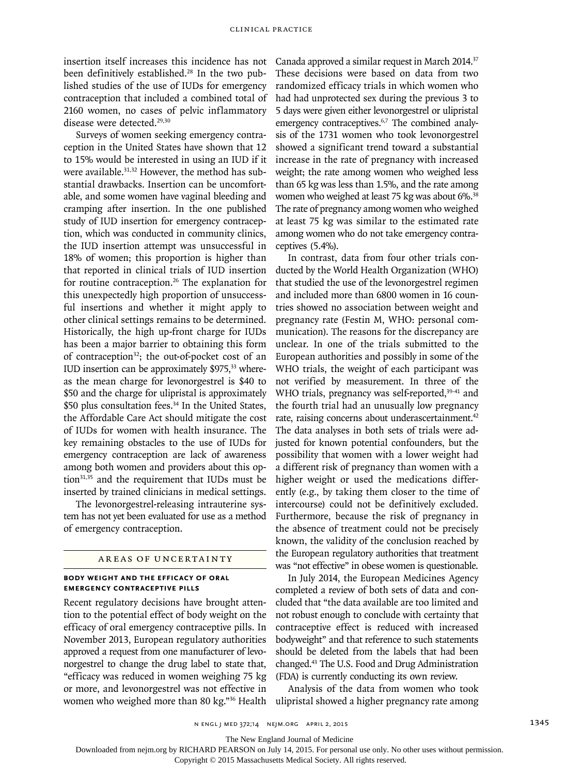insertion itself increases this incidence has not been definitively established.<sup>28</sup> In the two published studies of the use of IUDs for emergency contraception that included a combined total of 2160 women, no cases of pelvic inflammatory disease were detected.<sup>29,30</sup>

Surveys of women seeking emergency contraception in the United States have shown that 12 to 15% would be interested in using an IUD if it were available.<sup>31,32</sup> However, the method has substantial drawbacks. Insertion can be uncomfortable, and some women have vaginal bleeding and cramping after insertion. In the one published study of IUD insertion for emergency contraception, which was conducted in community clinics, the IUD insertion attempt was unsuccessful in 18% of women; this proportion is higher than that reported in clinical trials of IUD insertion for routine contraception.<sup>26</sup> The explanation for this unexpectedly high proportion of unsuccessful insertions and whether it might apply to other clinical settings remains to be determined. Historically, the high up-front charge for IUDs has been a major barrier to obtaining this form of contraception<sup>32</sup>; the out-of-pocket cost of an IUD insertion can be approximately \$975,<sup>33</sup> whereas the mean charge for levonorgestrel is \$40 to \$50 and the charge for ulipristal is approximately \$50 plus consultation fees.<sup>34</sup> In the United States, the Affordable Care Act should mitigate the cost of IUDs for women with health insurance. The key remaining obstacles to the use of IUDs for emergency contraception are lack of awareness among both women and providers about this option<sup>31,35</sup> and the requirement that IUDs must be inserted by trained clinicians in medical settings.

The levonorgestrel-releasing intrauterine system has not yet been evaluated for use as a method of emergency contraception.

## Areas of Uncertainty

# **Body Weight and the Efficacy of Oral Emergency Contraceptive Pills**

Recent regulatory decisions have brought attention to the potential effect of body weight on the efficacy of oral emergency contraceptive pills. In November 2013, European regulatory authorities approved a request from one manufacturer of levonorgestrel to change the drug label to state that, "efficacy was reduced in women weighing 75 kg or more, and levonorgestrel was not effective in women who weighed more than 80 kg."36 Health Canada approved a similar request in March 2014.37 These decisions were based on data from two randomized efficacy trials in which women who had had unprotected sex during the previous 3 to 5 days were given either levonorgestrel or ulipristal emergency contraceptives.<sup>6,7</sup> The combined analysis of the 1731 women who took levonorgestrel showed a significant trend toward a substantial increase in the rate of pregnancy with increased weight; the rate among women who weighed less than 65 kg was less than 1.5%, and the rate among women who weighed at least 75 kg was about 6%.<sup>38</sup> The rate of pregnancy among women who weighed at least 75 kg was similar to the estimated rate among women who do not take emergency contraceptives (5.4%).

In contrast, data from four other trials conducted by the World Health Organization (WHO) that studied the use of the levonorgestrel regimen and included more than 6800 women in 16 countries showed no association between weight and pregnancy rate (Festin M, WHO: personal communication). The reasons for the discrepancy are unclear. In one of the trials submitted to the European authorities and possibly in some of the WHO trials, the weight of each participant was not verified by measurement. In three of the WHO trials, pregnancy was self-reported,<sup>39-41</sup> and the fourth trial had an unusually low pregnancy rate, raising concerns about underascertainment.<sup>42</sup> The data analyses in both sets of trials were adjusted for known potential confounders, but the possibility that women with a lower weight had a different risk of pregnancy than women with a higher weight or used the medications differently (e.g., by taking them closer to the time of intercourse) could not be definitively excluded. Furthermore, because the risk of pregnancy in the absence of treatment could not be precisely known, the validity of the conclusion reached by the European regulatory authorities that treatment was "not effective" in obese women is questionable.

In July 2014, the European Medicines Agency completed a review of both sets of data and concluded that "the data available are too limited and not robust enough to conclude with certainty that contraceptive effect is reduced with increased bodyweight" and that reference to such statements should be deleted from the labels that had been changed.43 The U.S. Food and Drug Administration (FDA) is currently conducting its own review.

Analysis of the data from women who took ulipristal showed a higher pregnancy rate among

n engl j med 372;14 nejm.org April 2, 2015 1345

The New England Journal of Medicine

Downloaded from nejm.org by RICHARD PEARSON on July 14, 2015. For personal use only. No other uses without permission.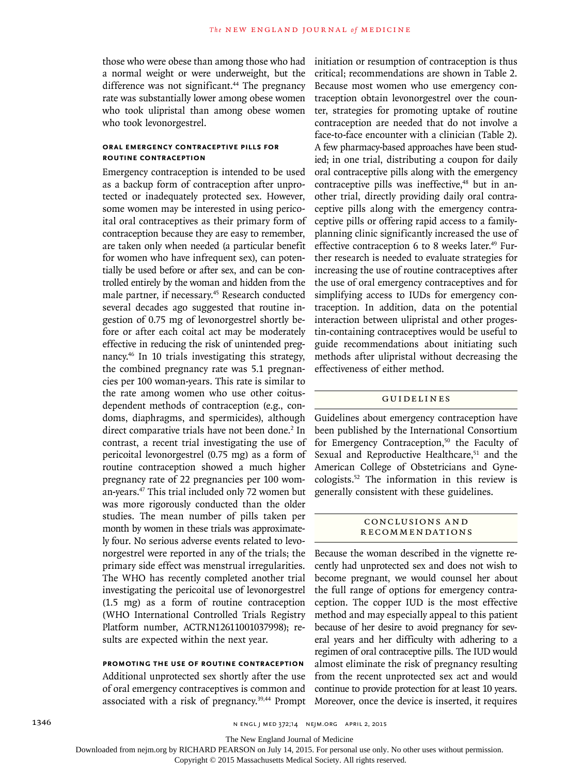those who were obese than among those who had a normal weight or were underweight, but the difference was not significant.<sup>44</sup> The pregnancy rate was substantially lower among obese women who took ulipristal than among obese women who took levonorgestrel.

# **Oral Emergency Contraceptive Pills for Routine Contraception**

Emergency contraception is intended to be used as a backup form of contraception after unprotected or inadequately protected sex. However, some women may be interested in using pericoital oral contraceptives as their primary form of contraception because they are easy to remember, are taken only when needed (a particular benefit for women who have infrequent sex), can potentially be used before or after sex, and can be controlled entirely by the woman and hidden from the male partner, if necessary.<sup>45</sup> Research conducted several decades ago suggested that routine ingestion of 0.75 mg of levonorgestrel shortly before or after each coital act may be moderately effective in reducing the risk of unintended pregnancy.46 In 10 trials investigating this strategy, the combined pregnancy rate was 5.1 pregnancies per 100 woman-years. This rate is similar to the rate among women who use other coitusdependent methods of contraception (e.g., condoms, diaphragms, and spermicides), although direct comparative trials have not been done.<sup>2</sup> In contrast, a recent trial investigating the use of pericoital levonorgestrel (0.75 mg) as a form of routine contraception showed a much higher pregnancy rate of 22 pregnancies per 100 woman-years.47 This trial included only 72 women but was more rigorously conducted than the older studies. The mean number of pills taken per month by women in these trials was approximately four. No serious adverse events related to levonorgestrel were reported in any of the trials; the primary side effect was menstrual irregularities. The WHO has recently completed another trial investigating the pericoital use of levonorgestrel (1.5 mg) as a form of routine contraception (WHO International Controlled Trials Registry Platform number, ACTRN12611001037998); results are expected within the next year.

**Promoting the Use of Routine Contraception**

Additional unprotected sex shortly after the use of oral emergency contraceptives is common and associated with a risk of pregnancy.<sup>39,44</sup> Prompt initiation or resumption of contraception is thus critical; recommendations are shown in Table 2. Because most women who use emergency contraception obtain levonorgestrel over the counter, strategies for promoting uptake of routine contraception are needed that do not involve a face-to-face encounter with a clinician (Table 2). A few pharmacy-based approaches have been studied; in one trial, distributing a coupon for daily oral contraceptive pills along with the emergency contraceptive pills was ineffective,<sup>48</sup> but in another trial, directly providing daily oral contraceptive pills along with the emergency contraceptive pills or offering rapid access to a familyplanning clinic significantly increased the use of effective contraception 6 to 8 weeks later.<sup>49</sup> Further research is needed to evaluate strategies for increasing the use of routine contraceptives after the use of oral emergency contraceptives and for simplifying access to IUDs for emergency contraception. In addition, data on the potential interaction between ulipristal and other progestin-containing contraceptives would be useful to guide recommendations about initiating such methods after ulipristal without decreasing the effectiveness of either method.

# Guidelines

Guidelines about emergency contraception have been published by the International Consortium for Emergency Contraception,<sup>50</sup> the Faculty of Sexual and Reproductive Healthcare,<sup>51</sup> and the American College of Obstetricians and Gynecologists.52 The information in this review is generally consistent with these guidelines.

# CONCLUSIONS AND Recommendations

Because the woman described in the vignette recently had unprotected sex and does not wish to become pregnant, we would counsel her about the full range of options for emergency contraception. The copper IUD is the most effective method and may especially appeal to this patient because of her desire to avoid pregnancy for several years and her difficulty with adhering to a regimen of oral contraceptive pills. The IUD would almost eliminate the risk of pregnancy resulting from the recent unprotected sex act and would continue to provide protection for at least 10 years. Moreover, once the device is inserted, it requires

1346 **n engl j med 372;14** N ENGL J MED 372;14 N EIM.ORG APRIL 2, 2015

The New England Journal of Medicine

Downloaded from nejm.org by RICHARD PEARSON on July 14, 2015. For personal use only. No other uses without permission.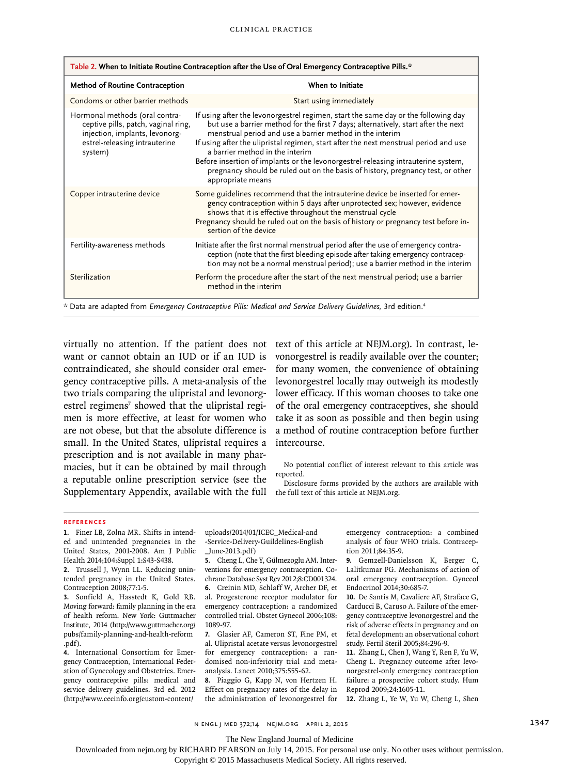| Table 2. When to Initiate Routine Contraception after the Use of Oral Emergency Contraceptive Pills.*                                               |                                                                                                                                                                                                                                                                                                                                                                                                                                                                                                                                                              |  |
|-----------------------------------------------------------------------------------------------------------------------------------------------------|--------------------------------------------------------------------------------------------------------------------------------------------------------------------------------------------------------------------------------------------------------------------------------------------------------------------------------------------------------------------------------------------------------------------------------------------------------------------------------------------------------------------------------------------------------------|--|
| <b>Method of Routine Contraception</b>                                                                                                              | When to Initiate                                                                                                                                                                                                                                                                                                                                                                                                                                                                                                                                             |  |
| Condoms or other barrier methods                                                                                                                    | Start using immediately                                                                                                                                                                                                                                                                                                                                                                                                                                                                                                                                      |  |
| Hormonal methods (oral contra-<br>ceptive pills, patch, vaginal ring,<br>injection, implants, levonorg-<br>estrel-releasing intrauterine<br>system) | If using after the levonorgestrel regimen, start the same day or the following day<br>but use a barrier method for the first 7 days; alternatively, start after the next<br>menstrual period and use a barrier method in the interim<br>If using after the ulipristal regimen, start after the next menstrual period and use<br>a barrier method in the interim<br>Before insertion of implants or the levonorgestrel-releasing intrauterine system,<br>pregnancy should be ruled out on the basis of history, pregnancy test, or other<br>appropriate means |  |
| Copper intrauterine device                                                                                                                          | Some guidelines recommend that the intrauterine device be inserted for emer-<br>gency contraception within 5 days after unprotected sex; however, evidence<br>shows that it is effective throughout the menstrual cycle<br>Pregnancy should be ruled out on the basis of history or pregnancy test before in-<br>sertion of the device                                                                                                                                                                                                                       |  |
| Fertility-awareness methods                                                                                                                         | Initiate after the first normal menstrual period after the use of emergency contra-<br>ception (note that the first bleeding episode after taking emergency contracep-<br>tion may not be a normal menstrual period); use a barrier method in the interim                                                                                                                                                                                                                                                                                                    |  |
| Sterilization                                                                                                                                       | Perform the procedure after the start of the next menstrual period; use a barrier<br>method in the interim                                                                                                                                                                                                                                                                                                                                                                                                                                                   |  |
| * Data are adapted from Emergency Contraceptive Pills: Medical and Service Delivery Guidelines, 3rd edition. <sup>4</sup>                           |                                                                                                                                                                                                                                                                                                                                                                                                                                                                                                                                                              |  |

want or cannot obtain an IUD or if an IUD is contraindicated, she should consider oral emergency contraceptive pills. A meta-analysis of the two trials comparing the ulipristal and levonorgestrel regimens<sup>7</sup> showed that the ulipristal regimen is more effective, at least for women who are not obese, but that the absolute difference is small. In the United States, ulipristal requires a prescription and is not available in many pharmacies, but it can be obtained by mail through a reputable online prescription service (see the Supplementary Appendix, available with the full

virtually no attention. If the patient does not text of this article at NEJM.org). In contrast, levonorgestrel is readily available over the counter; for many women, the convenience of obtaining levonorgestrel locally may outweigh its modestly lower efficacy. If this woman chooses to take one of the oral emergency contraceptives, she should take it as soon as possible and then begin using a method of routine contraception before further intercourse.

> No potential conflict of interest relevant to this article was reported.

> Disclosure forms provided by the authors are available with the full text of this article at NEJM.org.

#### **References**

**1.** Finer LB, Zolna MR. Shifts in intended and unintended pregnancies in the United States, 2001-2008. Am J Public Health 2014;104:Suppl 1:S43-S438.

**2.** Trussell J, Wynn LL. Reducing unintended pregnancy in the United States. Contraception 2008;77:1-5.

**3.** Sonfield A, Hasstedt K, Gold RB. Moving forward: family planning in the era of health reform. New York: Guttmacher Institute, 2014 (http://www.guttmacher.org/ pubs/family-planning-and-health-reform .pdf).

**4.** International Consortium for Emergency Contraception, International Federation of Gynecology and Obstetrics. Emergency contraceptive pills: medical and service delivery guidelines. 3rd ed. 2012 (http://www.cecinfo.org/custom-content/

uploads/2014/01/ICEC\_Medical-and -Service-Delivery-Guildelines-English \_June-2013.pdf)

**5.** Cheng L, Che Y, Gülmezoglu AM. Interventions for emergency contraception. Cochrane Database Syst Rev 2012;8:CD001324. **6.** Creinin MD, Schlaff W, Archer DF, et al. Progesterone receptor modulator for emergency contraception: a randomized controlled trial. Obstet Gynecol 2006;108: 1089-97.

**7.** Glasier AF, Cameron ST, Fine PM, et al. Ulipristal acetate versus levonorgestrel for emergency contraception: a randomised non-inferiority trial and metaanalysis. Lancet 2010;375:555-62.

**8.** Piaggio G, Kapp N, von Hertzen H. Effect on pregnancy rates of the delay in the administration of levonorgestrel for

emergency contraception: a combined analysis of four WHO trials. Contraception 2011;84:35-9.

**9.** Gemzell-Danielsson K, Berger C, Lalitkumar PG. Mechanisms of action of oral emergency contraception. Gynecol Endocrinol 2014;30:685-7.

**10.** De Santis M, Cavaliere AF, Straface G, Carducci B, Caruso A. Failure of the emergency contraceptive levonorgestrel and the risk of adverse effects in pregnancy and on fetal development: an observational cohort study. Fertil Steril 2005;84:296-9.

**11.** Zhang L, Chen J, Wang Y, Ren F, Yu W, Cheng L. Pregnancy outcome after levonorgestrel-only emergency contraception failure: a prospective cohort study. Hum Reprod 2009;24:1605-11.

**12.** Zhang L, Ye W, Yu W, Cheng L, Shen

n engl j med 372;14 nejm.org April 2, 2015 1347

The New England Journal of Medicine

Downloaded from nejm.org by RICHARD PEARSON on July 14, 2015. For personal use only. No other uses without permission.